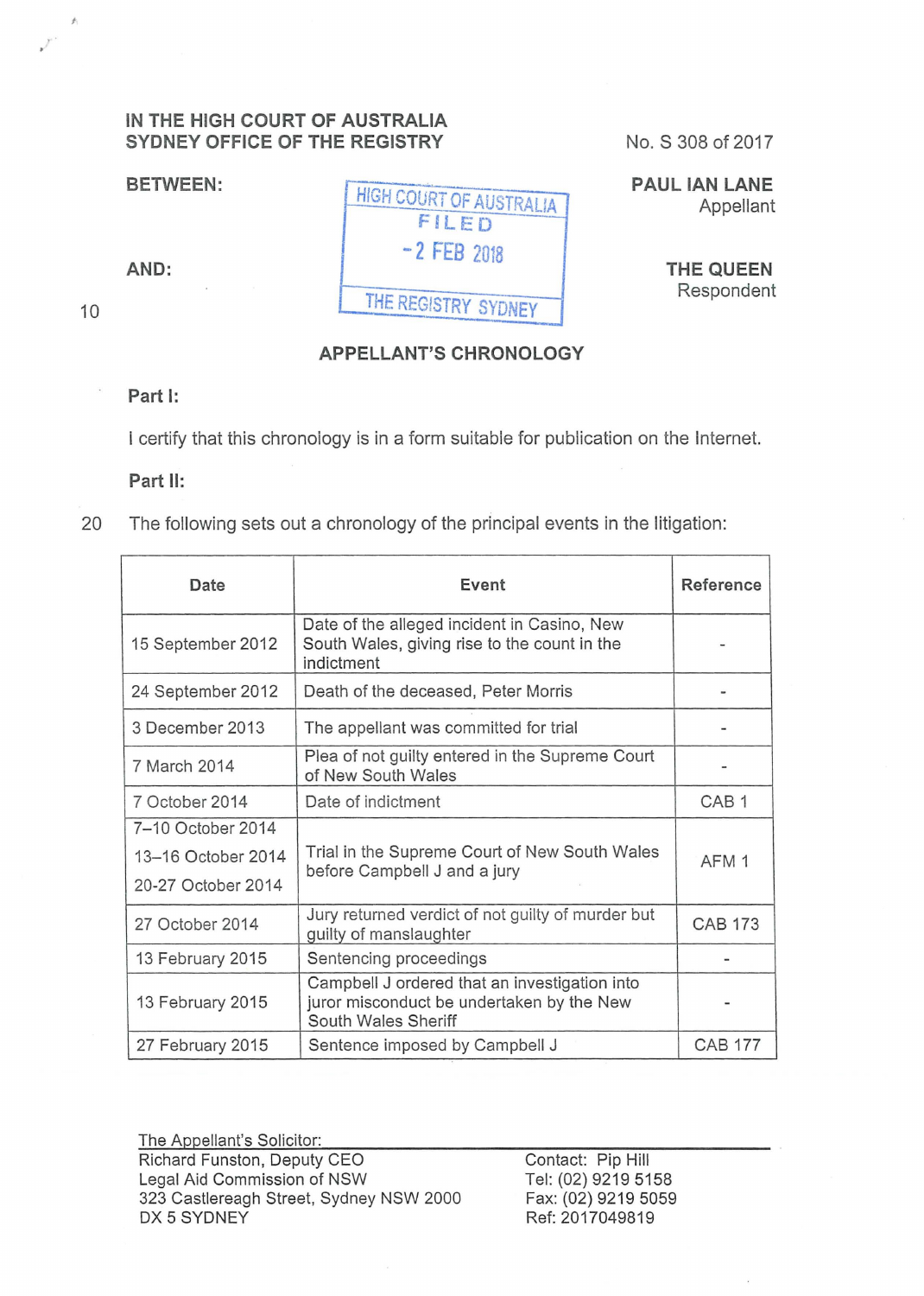## **IN THE HIGH COURT OF AUSTRALIA SYDNEY OFFICE OF THE REGISTRY**

**BETWEEN:** 

''

 $\hat{f}_1$ 

HIGH COURT OF AUSTRALIA FILED **-2 FEB** <sup>2018</sup> THE REGISTRY SYDNEY

No. S 308 of 2017

**PAUL IAN LANE**  Appellant

> **THE QUEEN**  Respondent

## **APPELLANT'S CHRONOLOGY**

## **Part 1:**

**AND:** 

10

I certify that this chronoiogy is in a form suitable for publication on the Internet.

**Part 11:** 

20 The following sets out a chronology of the principal events in the litigation:

| Date               | Event                                                                                                             | Reference        |
|--------------------|-------------------------------------------------------------------------------------------------------------------|------------------|
| 15 September 2012  | Date of the alleged incident in Casino, New<br>South Wales, giving rise to the count in the<br>indictment         |                  |
| 24 September 2012  | Death of the deceased, Peter Morris                                                                               |                  |
| 3 December 2013    | The appellant was committed for trial                                                                             |                  |
| 7 March 2014       | Plea of not guilty entered in the Supreme Court<br>of New South Wales                                             |                  |
| 7 October 2014     | Date of indictment                                                                                                | CAB <sub>1</sub> |
| 7-10 October 2014  |                                                                                                                   |                  |
| 13-16 October 2014 | Trial in the Supreme Court of New South Wales<br>before Campbell J and a jury                                     | AFM <sub>1</sub> |
| 20-27 October 2014 |                                                                                                                   |                  |
| 27 October 2014    | Jury returned verdict of not guilty of murder but<br>guilty of manslaughter                                       | <b>CAB 173</b>   |
| 13 February 2015   | Sentencing proceedings                                                                                            |                  |
| 13 February 2015   | Campbell J ordered that an investigation into<br>juror misconduct be undertaken by the New<br>South Wales Sheriff |                  |
| 27 February 2015   | Sentence imposed by Campbell J                                                                                    | <b>CAB 177</b>   |

The Appellant's Solicitor: Richard Funston, Deputy CEO Legal Aid Commission of NSW 323 Castlereagh Street, Sydney NSW 2000 DX 5 SYDNEY

Contact: Pip Hill Tel: (02) 9219 5158 Fax: (02) 9219 5059 Ref: 2017049819